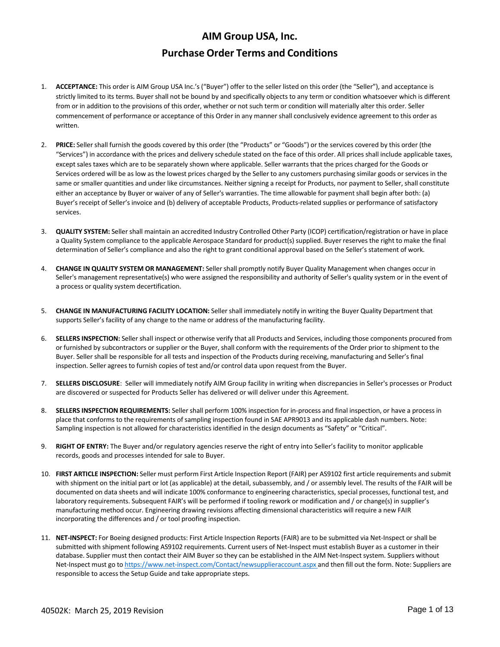- 1. **ACCEPTANCE:** This order is AIM Group USA Inc.'s ("Buyer") offer to the seller listed on this order (the "Seller"), and acceptance is strictly limited to its terms. Buyer shall not be bound by and specifically objects to any term or condition whatsoever which is different from or in addition to the provisions of this order, whether or not such term or condition will materially alter this order. Seller commencement of performance or acceptance of this Order in any manner shall conclusively evidence agreement to this order as written.
- 2. **PRICE:** Seller shall furnish the goods covered by this order (the "Products" or "Goods") or the services covered by this order (the "Services") in accordance with the prices and delivery schedule stated on the face of this order. All prices shall include applicable taxes, except sales taxes which are to be separately shown where applicable. Seller warrants that the prices charged for the Goods or Services ordered will be as low as the lowest prices charged by the Seller to any customers purchasing similar goods or services in the same or smaller quantities and under like circumstances. Neither signing a receipt for Products, nor payment to Seller, shall constitute either an acceptance by Buyer or waiver of any of Seller's warranties. The time allowable for payment shall begin after both: (a) Buyer's receipt of Seller's invoice and (b) delivery of acceptable Products, Products‐related supplies or performance of satisfactory services.
- 3. **QUALITY SYSTEM:** Seller shall maintain an accredited Industry Controlled Other Party (ICOP) certification/registration or have in place a Quality System compliance to the applicable Aerospace Standard for product(s) supplied. Buyer reserves the right to make the final determination of Seller's compliance and also the right to grant conditional approval based on the Seller's statement of work.
- 4. **CHANGE IN QUALITY SYSTEM OR MANAGEMENT:** Seller shall promptly notify Buyer Quality Management when changes occur in Seller's management representative(s) who were assigned the responsibility and authority of Seller's quality system or in the event of a process or quality system decertification.
- 5. **CHANGE IN MANUFACTURING FACILITY LOCATION:** Seller shall immediately notify in writing the Buyer Quality Department that supports Seller's facility of any change to the name or address of the manufacturing facility.
- 6. **SELLERS INSPECTION:** Seller shall inspect or otherwise verify that all Products and Services, including those components procured from or furnished by subcontractors or supplier or the Buyer, shall conform with the requirements of the Order prior to shipment to the Buyer. Seller shall be responsible for all tests and inspection of the Products during receiving, manufacturing and Seller's final inspection. Seller agrees to furnish copies of test and/or control data upon request from the Buyer.
- 7. **SELLERS DISCLOSURE**: Seller will immediately notify AIM Group facility in writing when discrepancies in Seller's processes or Product are discovered or suspected for Products Seller has delivered or will deliver under this Agreement.
- 8. **SELLERS INSPECTION REQUIREMENTS:** Seller shall perform 100% inspection for in‐process and final inspection, or have a process in place that conforms to the requirements of sampling inspection found in SAE APR9013 and its applicable dash numbers. Note: Sampling inspection is not allowed for characteristics identified in the design documents as "Safety" or "Critical".
- 9. **RIGHT OF ENTRY:** The Buyer and/or regulatory agencies reserve the right of entry into Seller's facility to monitor applicable records, goods and processes intended for sale to Buyer.
- 10. **FIRST ARTICLE INSPECTION:** Seller must perform First Article Inspection Report (FAIR) per AS9102 first article requirements and submit with shipment on the initial part or lot (as applicable) at the detail, subassembly, and / or assembly level. The results of the FAIR will be documented on data sheets and will indicate 100% conformance to engineering characteristics, special processes, functional test, and laboratory requirements. Subsequent FAIR's will be performed if tooling rework or modification and / or change(s) in supplier's manufacturing method occur. Engineering drawing revisions affecting dimensional characteristics will require a new FAIR incorporating the differences and / or tool proofing inspection.
- 11. NET-INSPECT: For Boeing designed products: First Article Inspection Reports (FAIR) are to be submitted via Net-Inspect or shall be submitted with shipment following AS9102 requirements. Current users of Net‐Inspect must establish Buyer as a customer in their database. Supplier must then contact their AIM Buyer so they can be established in the AIM Net‐Inspect system. Suppliers without Net-Inspect must go to https://www.net-inspect.com/Contact/newsupplieraccount.aspx and then fill out the form. Note: Suppliers are responsible to access the Setup Guide and take appropriate steps.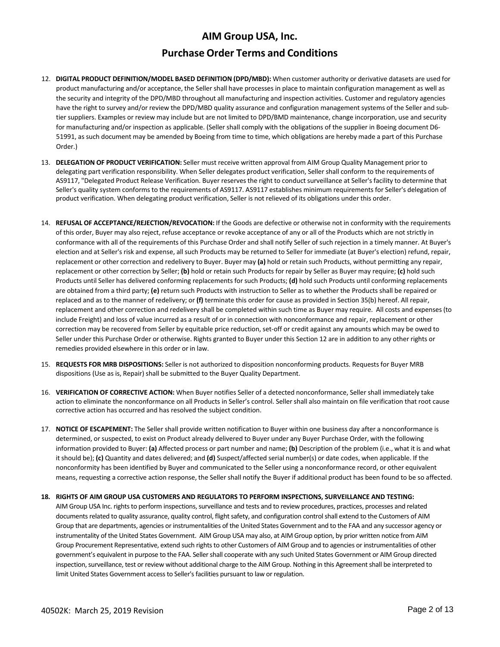## **Purchase Order Terms and Conditions**

- 12. **DIGITAL PRODUCT DEFINITION/MODEL BASED DEFINITION (DPD/MBD):** When customer authority or derivative datasets are used for product manufacturing and/or acceptance, the Seller shall have processes in place to maintain configuration management as well as the security and integrity of the DPD/MBD throughout all manufacturing and inspection activities. Customer and regulatory agencies have the right to survey and/or review the DPD/MBD quality assurance and configuration management systems of the Seller and subtier suppliers. Examples or review may include but are not limited to DPD/BMD maintenance, change incorporation, use and security for manufacturing and/or inspection as applicable. (Seller shall comply with the obligations of the supplier in Boeing document D6-51991, as such document may be amended by Boeing from time to time, which obligations are hereby made a part of this Purchase Order.)
- 13. **DELEGATION OF PRODUCT VERIFICATION:** Seller must receive written approval from AIM Group Quality Management prior to delegating part verification responsibility. When Seller delegates product verification, Seller shall conform to the requirements of AS9117, "Delegated Product Release Verification. Buyer reserves the right to conduct surveillance at Seller's facility to determine that Seller's quality system conforms to the requirements of AS9117. AS9117 establishes minimum requirements for Seller's delegation of product verification. When delegating product verification, Seller is not relieved of its obligations under this order.
- 14. **REFUSAL OF ACCEPTANCE/REJECTION/REVOCATION:** If the Goods are defective or otherwise not in conformity with the requirements of this order, Buyer may also reject, refuse acceptance or revoke acceptance of any or all of the Products which are not strictly in conformance with all of the requirements of this Purchase Order and shall notify Seller of such rejection in a timely manner. At Buyer's election and at Seller's risk and expense, all such Products may be returned to Seller for immediate (at Buyer's election) refund, repair, replacement or other correction and redelivery to Buyer. Buyer may **(a)** hold or retain such Products, without permitting any repair, replacement or other correction by Seller; **(b)** hold or retain such Products for repair by Seller as Buyer may require; **(c)** hold such Products until Seller has delivered conforming replacements for such Products; **(d)** hold such Products until conforming replacements are obtained from a third party; **(e)** return such Products with instruction to Seller as to whether the Products shall be repaired or replaced and as to the manner of redelivery; or **(f)** terminate this order for cause as provided in Section 35(b) hereof. All repair, replacement and other correction and redelivery shall be completed within such time as Buyer may require. All costs and expenses(to include Freight) and loss of value incurred as a result of or in connection with nonconformance and repair, replacement or other correction may be recovered from Seller by equitable price reduction, set‐off or credit against any amounts which may be owed to Seller under this Purchase Order or otherwise. Rights granted to Buyer under this Section 12 are in addition to any other rights or remedies provided elsewhere in this order or in law.
- 15. **REQUESTS FOR MRB DISPOSITIONS:** Seller is not authorized to disposition nonconforming products. Requests for Buyer MRB dispositions (Use as is, Repair) shall be submitted to the Buyer Quality Department.
- 16. **VERIFICATION OF CORRECTIVE ACTION:** When Buyer notifies Seller of a detected nonconformance, Seller shall immediately take action to eliminate the nonconformance on all Products in Seller's control. Seller shall also maintain on file verification that root cause corrective action has occurred and has resolved the subject condition.
- 17. **NOTICE OF ESCAPEMENT:** The Seller shall provide written notification to Buyer within one business day after a nonconformance is determined, or suspected, to exist on Product already delivered to Buyer under any Buyer Purchase Order, with the following information provided to Buyer: **(a)** Affected process or part number and name; **(b)** Description of the problem (i.e., what it is and what it should be); **(c)** Quantity and dates delivered; and **(d)** Suspect/affected serial number(s) or date codes, when applicable. If the nonconformity has been identified by Buyer and communicated to the Seller using a nonconformance record, or other equivalent means, requesting a corrective action response, the Seller shall notify the Buyer if additional product has been found to be so affected.

### **18. RIGHTS OF AIM GROUP USA CUSTOMERS AND REGULATORS TO PERFORM INSPECTIONS, SURVEILLANCE AND TESTING:**

AIM Group USA Inc. rights to perform inspections, surveillance and tests and to review procedures, practices, processes and related documents related to quality assurance, quality control, flight safety, and configuration control shall extend to the Customers of AIM Group that are departments, agencies or instrumentalities of the United States Government and to the FAA and any successor agency or instrumentality of the United States Government. AIM Group USA may also, at AIM Group option, by prior written notice from AIM Group Procurement Representative, extend such rights to other Customers of AIM Group and to agencies or instrumentalities of other government's equivalent in purpose to the FAA. Sellershall cooperate with any such United States Government or AIM Group directed inspection, surveillance, test or review without additional charge to the AIM Group. Nothing in this Agreement shall be interpreted to limit United States Government access to Seller's facilities pursuant to law or regulation.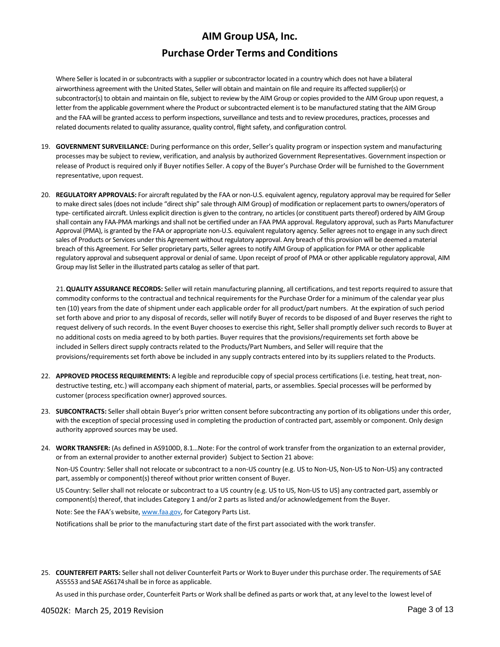## **Purchase Order Terms and Conditions**

Where Seller is located in or subcontracts with a supplier or subcontractor located in a country which does not have a bilateral airworthiness agreement with the United States, Seller will obtain and maintain on file and require its affected supplier(s) or subcontractor(s) to obtain and maintain on file, subject to review by the AIM Group or copies provided to the AIM Group upon request, a letter from the applicable government where the Product or subcontracted element is to be manufactured stating that the AIM Group and the FAA will be granted access to perform inspections, surveillance and tests and to review procedures, practices, processes and related documents related to quality assurance, quality control, flight safety, and configuration control.

- 19. **GOVERNMENT SURVEILLANCE:** During performance on this order, Seller's quality program or inspection system and manufacturing processes may be subject to review, verification, and analysis by authorized Government Representatives. Government inspection or release of Product is required only if Buyer notifies Seller. A copy of the Buyer's Purchase Order will be furnished to the Government representative, upon request.
- 20. REGULATORY APPROVALS: For aircraft regulated by the FAA or non-U.S. equivalent agency, regulatory approval may be required for Seller to make direct sales (does not include "direct ship" sale through AIM Group) of modification or replacement parts to owners/operators of type- certificated aircraft. Unless explicit direction is given to the contrary, no articles (or constituent parts thereof) ordered by AIM Group shall contain any FAA-PMA markings and shall not be certified under an FAA PMA approval. Regulatory approval, such as Parts Manufacturer Approval (PMA), is granted by the FAA or appropriate non‐U.S. equivalent regulatory agency. Seller agrees not to engage in any such direct sales of Products or Services under this Agreement without regulatory approval. Any breach of this provision will be deemed a material breach of this Agreement. For Seller proprietary parts, Seller agreesto notify AIM Group of application for PMA or other applicable regulatory approval and subsequent approval or denial of same. Upon receipt of proof of PMA or other applicable regulatory approval, AIM Group may list Seller in the illustrated parts catalog as seller of that part.

21.**QUALITY ASSURANCE RECORDS:** Seller will retain manufacturing planning, all certifications, and test reports required to assure that commodity conforms to the contractual and technical requirements for the Purchase Order for a minimum of the calendar year plus ten (10) years from the date of shipment under each applicable order for all product/part numbers. At the expiration of such period set forth above and prior to any disposal of records, seller will notify Buyer of records to be disposed of and Buyer reserves the right to request delivery of such records. In the event Buyer chooses to exercise this right, Seller shall promptly deliver such records to Buyer at no additional costs on media agreed to by both parties. Buyer requires that the provisions/requirements set forth above be included in Sellers direct supply contracts related to the Products/Part Numbers, and Seller will require that the provisions/requirements set forth above be included in any supply contracts entered into by its suppliers related to the Products.

- 22. **APPROVED PROCESS REQUIREMENTS:** A legible and reproducible copy of special process certifications (i.e. testing, heat treat, non‐ destructive testing, etc.) will accompany each shipment of material, parts, or assemblies. Special processes will be performed by customer (process specification owner) approved sources.
- 23. **SUBCONTRACTS:** Seller shall obtain Buyer's prior written consent before subcontracting any portion of its obligations under this order, with the exception of special processing used in completing the production of contracted part, assembly or component. Only design authority approved sources may be used.
- 24. **WORK TRANSFER:** (As defined in AS9100D, 8.1…Note: For the control of work transfer from the organization to an external provider, or from an external provider to another external provider) Subject to Section 21 above:

Non‐US Country: Seller shall not relocate or subcontract to a non‐US country (e.g. US to Non‐US, Non‐US to Non‐US) any contracted part, assembly or component(s) thereof without prior written consent of Buyer.

US Country: Seller shall not relocate or subcontract to a US country (e.g. US to US, Non‐US to US) any contracted part, assembly or component(s) thereof, that includes Category 1 and/or 2 parts as listed and/or acknowledgement from the Buyer.

Note: See the FAA's website, www.faa.gov, for Category Parts List.

Notifications shall be prior to the manufacturing start date of the first part associated with the work transfer.

25. **COUNTERFEIT PARTS:** Sellershall not deliver Counterfeit Parts or Work to Buyer under this purchase order. The requirements of SAE AS5553 and SAE AS6174 shall be in force as applicable.

As used in this purchase order, Counterfeit Parts or Work shall be defined as parts or work that, at any level to the lowest level of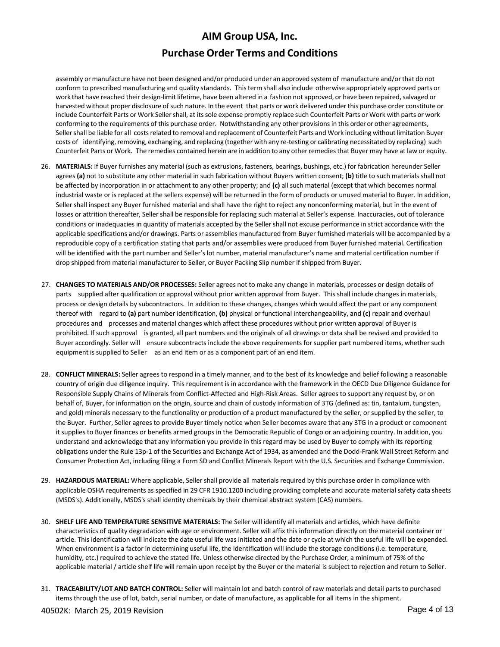## **Purchase Order Terms and Conditions**

assembly or manufacture have not been designed and/or produced under an approved systemof manufacture and/orthat do not conform to prescribed manufacturing and quality standards. Thisterm shall also include otherwise appropriately approved parts or work that have reached their design-limit lifetime, have been altered in a fashion not approved, or have been repaired, salvaged or harvested without proper disclosure of such nature. In the event that parts or work delivered under this purchase order constitute or include Counterfeit Parts or Work Sellershall, at itssole expense promptly replace such Counterfeit Parts or Work with parts or work conforming to the requirements of this purchase order. Notwithstanding any other provisionsin this orderor other agreements, Seller shall be liable for all costs related to removal and replacement of Counterfeit Parts and Work including without limitation Buyer costs of identifying, removing, exchanging, and replacing (together with any re-testing or calibrating necessitated by replacing) such Counterfeit Parts or Work. The remedies contained herein are in addition to any otherremediesthat Buyer may have at law or equity.

- 26. **MATERIALS:** If Buyer furnishes any material (such as extrusions, fasteners, bearings, bushings, etc.) for fabrication hereunder Seller agrees **(a)** not to substitute any other material in such fabrication without Buyers written consent; **(b)** title to such materials shall not be affected by incorporation in or attachment to any other property; and **(c)** all such material (except that which becomes normal industrial waste or is replaced at the sellers expense) will be returned in the form of products or unused material to Buyer. In addition, Seller shall inspect any Buyer furnished material and shall have the right to reject any nonconforming material, but in the event of losses or attrition thereafter, Seller shall be responsible for replacing such material at Seller's expense. Inaccuracies, out of tolerance conditions or inadequacies in quantity of materials accepted by the Seller shall not excuse performance in strict accordance with the applicable specifications and/or drawings. Parts or assemblies manufactured from Buyer furnished materials will be accompanied by a reproducible copy of a certification stating that parts and/or assemblies were produced from Buyer furnished material. Certification will be identified with the part number and Seller's lot number, material manufacturer's name and material certification number if drop shipped from material manufacturer to Seller, or Buyer Packing Slip number if shipped from Buyer.
- 27. **CHANGES TO MATERIALS AND/OR PROCESSES:** Seller agrees not to make any change in materials, processes or design details of parts supplied after qualification or approval without prior written approval from Buyer. This shall include changes in materials, process or design details by subcontractors. In addition to these changes, changes which would affect the part or any component thereof with regard to **(a)** part number identification, **(b)** physical or functional interchangeability, and **(c)** repair and overhaul procedures and processes and material changes which affect these procedures without prior written approval of Buyer is prohibited. If such approval is granted, all part numbers and the originals of all drawings or data shall be revised and provided to Buyer accordingly. Seller will ensure subcontracts include the above requirements for supplier part numbered items, whether such equipment is supplied to Seller as an end item or as a component part of an end item.
- 28. **CONFLICT MINERALS:** Seller agrees to respond in a timely manner, and to the best of its knowledge and belief following a reasonable country of origin due diligence inquiry. This requirement is in accordance with the framework in the OECD Due Diligence Guidance for Responsible Supply Chains of Minerals from Conflict-Affected and High-Risk Areas. Seller agrees to support any request by, or on behalf of, Buyer, for information on the origin, source and chain of custody information of 3TG (defined as: tin, tantalum, tungsten, and gold) minerals necessary to the functionality or production of a product manufactured by the seller, or supplied by the seller, to the Buyer. Further, Seller agrees to provide Buyer timely notice when Seller becomes aware that any 3TG in a product or component it supplies to Buyer finances or benefits armed groups in the Democratic Republic of Congo or an adjoining country. In addition, you understand and acknowledge that any information you provide in this regard may be used by Buyer to comply with its reporting obligations under the Rule 13p‐1 of the Securities and Exchange Act of 1934, as amended and the Dodd‐Frank Wall Street Reform and Consumer Protection Act, including filing a Form SD and Conflict Minerals Report with the U.S. Securities and Exchange Commission.
- 29. **HAZARDOUS MATERIAL:** Where applicable, Seller shall provide all materials required by this purchase order in compliance with applicable OSHA requirements as specified in 29 CFR 1910.1200 including providing complete and accurate material safety data sheets (MSDS's). Additionally, MSDS's shall identity chemicals by their chemical abstract system (CAS) numbers.
- 30. **SHELF LIFE AND TEMPERATURE SENSITIVE MATERIALS:** The Seller will identify all materials and articles, which have definite characteristics of quality degradation with age or environment. Seller will affix this information directly on the material container or article. This identification will indicate the date useful life was initiated and the date or cycle at which the useful life will be expended. When environment is a factor in determining useful life, the identification will include the storage conditions (i.e. temperature, humidity, etc.) required to achieve the stated life. Unless otherwise directed by the Purchase Order, a minimum of 75% of the applicable material / article shelf life will remain upon receipt by the Buyer or the material is subject to rejection and return to Seller.
- 31. **TRACEABILITY/LOT AND BATCH CONTROL:** Seller will maintain lot and batch control of raw materials and detail parts to purchased items through the use of lot, batch, serial number, or date of manufacture, as applicable for all items in the shipment.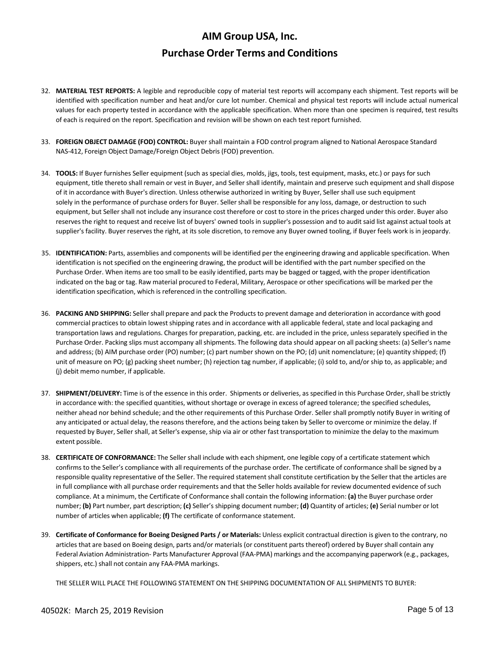- 32. **MATERIAL TEST REPORTS:** A legible and reproducible copy of material test reports will accompany each shipment. Test reports will be identified with specification number and heat and/or cure lot number. Chemical and physical test reports will include actual numerical values for each property tested in accordance with the applicable specification. When more than one specimen is required, test results of each is required on the report. Specification and revision will be shown on each test report furnished.
- 33. **FOREIGN OBJECT DAMAGE (FOD) CONTROL:** Buyer shall maintain a FOD control program aligned to National Aerospace Standard NAS‐412, Foreign Object Damage/Foreign Object Debris (FOD) prevention.
- 34. **TOOLS:** If Buyer furnishes Seller equipment (such as special dies, molds, jigs, tools, test equipment, masks, etc.) or pays for such equipment, title thereto shall remain or vest in Buyer, and Seller shall identify, maintain and preserve such equipment and shall dispose of it in accordance with Buyer's direction. Unless otherwise authorized in writing by Buyer, Seller shall use such equipment solely in the performance of purchase orders for Buyer. Seller shall be responsible for any loss, damage, or destruction to such equipment, but Seller shall not include any insurance cost therefore or cost to store in the prices charged under this order. Buyer also reserves the right to request and receive list of buyers' owned tools in supplier's possession and to audit said list against actual tools at supplier's facility. Buyer reserves the right, at its sole discretion, to remove any Buyer owned tooling, if Buyer feels work is in jeopardy.
- 35. **IDENTIFICATION:** Parts, assemblies and components will be identified per the engineering drawing and applicable specification. When identification is not specified on the engineering drawing, the product will be identified with the part number specified on the Purchase Order. When items are too small to be easily identified, parts may be bagged or tagged, with the proper identification indicated on the bag or tag. Raw material procured to Federal, Military, Aerospace or other specifications will be marked per the identification specification, which is referenced in the controlling specification.
- 36. **PACKING AND SHIPPING:** Seller shall prepare and pack the Products to prevent damage and deterioration in accordance with good commercial practices to obtain lowest shipping rates and in accordance with all applicable federal, state and local packaging and transportation laws and regulations. Charges for preparation, packing, etc. are included in the price, unless separately specified in the Purchase Order. Packing slips must accompany all shipments. The following data should appear on all packing sheets: (a) Seller's name and address; (b) AIM purchase order (PO) number; (c) part number shown on the PO; (d) unit nomenclature; (e) quantity shipped; (f) unit of measure on PO; (g) packing sheet number; (h) rejection tag number, if applicable; (i) sold to, and/or ship to, as applicable; and (j) debit memo number, if applicable.
- 37. **SHIPMENT/DELIVERY:** Time is of the essence in this order. Shipments or deliveries, as specified in this Purchase Order,shall be strictly in accordance with: the specified quantities, without shortage or overage in excess of agreed tolerance; the specified schedules, neither ahead nor behind schedule; and the other requirements of this Purchase Order. Seller shall promptly notify Buyer in writing of any anticipated or actual delay, the reasons therefore, and the actions being taken by Seller to overcome or minimize the delay. If requested by Buyer, Seller shall, at Seller's expense, ship via air or other fast transportation to minimize the delay to the maximum extent possible.
- 38. **CERTIFICATE OF CONFORMANCE:** The Seller shall include with each shipment, one legible copy of a certificate statement which confirms to the Seller's compliance with all requirements of the purchase order. The certificate of conformance shall be signed by a responsible quality representative of the Seller. The required statement shall constitute certification by the Seller that the articles are in full compliance with all purchase order requirements and that the Seller holds available for review documented evidence of such compliance. At a minimum, the Certificate of Conformance shall contain the following information: **(a)** the Buyer purchase order number; **(b)** Part number, part description; **(c)** Seller's shipping document number; **(d)** Quantity of articles; **(e)** Serial number or lot number of articles when applicable; **(f)** The certificate of conformance statement.
- 39. **Certificate of Conformance for Boeing Designed Parts / or Materials:** Unless explicit contractual direction is given to the contrary, no articles that are based on Boeing design, parts and/or materials (or constituent parts thereof) ordered by Buyer shall contain any Federal Aviation Administration‐ Parts Manufacturer Approval (FAA‐PMA) markings and the accompanying paperwork (e.g., packages, shippers, etc.) shall not contain any FAA‐PMA markings.

THE SELLER WILL PLACE THE FOLLOWING STATEMENT ON THE SHIPPING DOCUMENTATION OF ALL SHIPMENTS TO BUYER: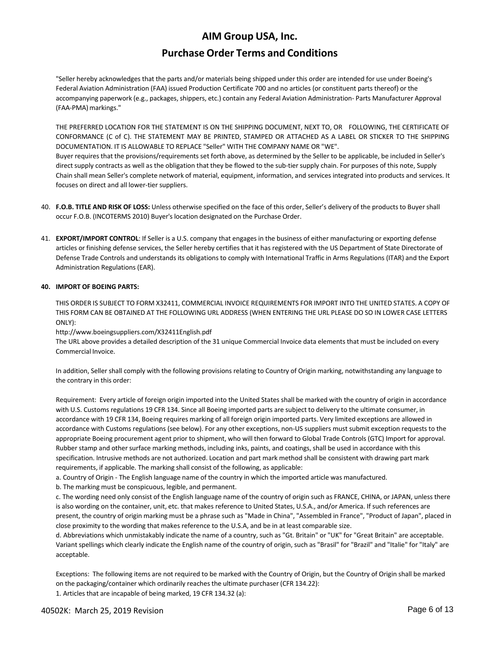## **Purchase Order Terms and Conditions**

"Seller hereby acknowledges that the parts and/or materials being shipped under this order are intended for use under Boeing's Federal Aviation Administration (FAA) issued Production Certificate 700 and no articles (or constituent parts thereof) or the accompanying paperwork (e.g., packages, shippers, etc.) contain any Federal Aviation Administration‐ Parts Manufacturer Approval (FAA-PMA) markings."

THE PREFERRED LOCATION FOR THE STATEMENT IS ON THE SHIPPING DOCUMENT, NEXT TO, OR FOLLOWING, THE CERTIFICATE OF CONFORMANCE (C of C). THE STATEMENT MAY BE PRINTED, STAMPED OR ATTACHED AS A LABEL OR STICKER TO THE SHIPPING DOCUMENTATION. IT IS ALLOWABLE TO REPLACE "Seller" WITH THE COMPANY NAME OR "WE".

Buyer requires that the provisions/requirements set forth above, as determined by the Seller to be applicable, be included in Seller's direct supply contracts as well as the obligation that they be flowed to the sub-tier supply chain. For purposes of this note, Supply Chain shall mean Seller's complete network of material, equipment, information, and services integrated into products and services. It focuses on direct and all lower‐tier suppliers.

- 40. **F.O.B. TITLE AND RISK OF LOSS:** Unless otherwise specified on the face of this order, Seller's delivery of the products to Buyer shall occur F.O.B. (INCOTERMS 2010) Buyer's location designated on the Purchase Order.
- 41. **EXPORT/IMPORT CONTROL**: If Seller is a U.S. company that engages in the business of either manufacturing or exporting defense articles or finishing defense services, the Seller hereby certifies that it has registered with the US Department of State Directorate of Defense Trade Controls and understands its obligations to comply with International Traffic in Arms Regulations (ITAR) and the Export Administration Regulations (EAR).

### **40. IMPORT OF BOEING PARTS:**

THIS ORDER IS SUBJECT TO FORM X32411, COMMERCIAL INVOICE REQUIREMENTS FOR IMPORT INTO THE UNITED STATES. A COPY OF THIS FORM CAN BE OBTAINED AT THE FOLLOWING URL ADDRESS (WHEN ENTERING THE URL PLEASE DO SO IN LOWER CASE LETTERS ONLY):

http://www.boeingsuppliers.com/X32411English.pdf

The URL above provides a detailed description of the 31 unique Commercial Invoice data elements that must be included on every Commercial Invoice.

In addition, Seller shall comply with the following provisions relating to Country of Origin marking, notwithstanding any language to the contrary in this order:

Requirement: Every article of foreign origin imported into the United States shall be marked with the country of origin in accordance with U.S. Customs regulations 19 CFR 134. Since all Boeing imported parts are subject to delivery to the ultimate consumer, in accordance with 19 CFR 134, Boeing requires marking of all foreign origin imported parts. Very limited exceptions are allowed in accordance with Customs regulations (see below). For any other exceptions, non‐US suppliers must submit exception requests to the appropriate Boeing procurement agent prior to shipment, who will then forward to Global Trade Controls (GTC) Import for approval. Rubber stamp and other surface marking methods, including inks, paints, and coatings, shall be used in accordance with this specification. Intrusive methods are not authorized. Location and part mark method shall be consistent with drawing part mark requirements, if applicable. The marking shall consist of the following, as applicable:

a. Country of Origin ‐ The English language name of the country in which the imported article was manufactured.

b. The marking must be conspicuous, legible, and permanent.

c. The wording need only consist of the English language name of the country of origin such as FRANCE, CHINA, or JAPAN, unless there is also wording on the container, unit, etc. that makes reference to United States, U.S.A., and/or America. If such references are present, the country of origin marking must be a phrase such as "Made in China", "Assembled in France", "Product of Japan", placed in close proximity to the wording that makes reference to the U.S.A, and be in at least comparable size.

d. Abbreviations which unmistakably indicate the name of a country, such as "Gt. Britain" or "UK" for "Great Britain" are acceptable. Variant spellings which clearly indicate the English name of the country of origin, such as "Brasil" for "Brazil" and "Italie" for "Italy" are acceptable.

Exceptions: The following items are not required to be marked with the Country of Origin, but the Country of Origin shall be marked on the packaging/container which ordinarily reaches the ultimate purchaser (CFR 134.22):

1. Articles that are incapable of being marked, 19 CFR 134.32 (a):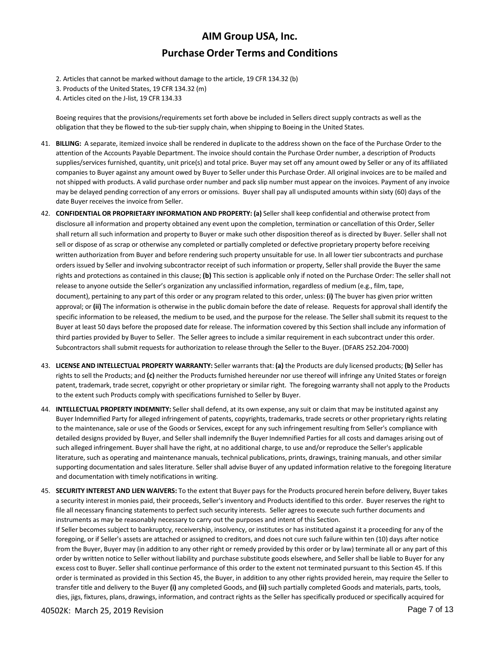- 2. Articles that cannot be marked without damage to the article, 19 CFR 134.32 (b)
- 3. Products of the United States, 19 CFR 134.32 (m)
- 4. Articles cited on the J‐list, 19 CFR 134.33

Boeing requires that the provisions/requirements set forth above be included in Sellers direct supply contracts as well as the obligation that they be flowed to the sub‐tier supply chain, when shipping to Boeing in the United States.

- 41. **BILLING:** A separate, itemized invoice shall be rendered in duplicate to the address shown on the face of the Purchase Order to the attention of the Accounts Payable Department. The invoice should contain the Purchase Order number, a description of Products supplies/services furnished, quantity, unit price(s) and total price. Buyer may set off any amount owed by Seller or any of its affiliated companies to Buyer against any amount owed by Buyer to Seller under this Purchase Order. All original invoices are to be mailed and not shipped with products. A valid purchase order number and pack slip number must appear on the invoices. Payment of any invoice may be delayed pending correction of any errors or omissions. Buyer shall pay all undisputed amounts within sixty (60) days of the date Buyer receives the invoice from Seller.
- 42. **CONFIDENTIAL OR PROPRIETARY INFORMATION AND PROPERTY: (a)** Seller shall keep confidential and otherwise protect from disclosure all information and property obtained any event upon the completion, termination or cancellation of this Order, Seller shall return all such information and property to Buyer or make such other disposition thereof as is directed by Buyer. Seller shall not sell or dispose of as scrap or otherwise any completed or partially completed or defective proprietary property before receiving written authorization from Buyer and before rendering such property unsuitable for use. In all lower tier subcontracts and purchase orders issued by Seller and involving subcontractor receipt of such information or property, Seller shall provide the Buyer the same rights and protections as contained in this clause; **(b)** This section is applicable only if noted on the Purchase Order: The seller shall not release to anyone outside the Seller's organization any unclassified information, regardless of medium (e.g., film, tape, document), pertaining to any part of this order or any program related to this order, unless: **(i)** The buyer has given prior written approval; or **(ii)** The information is otherwise in the public domain before the date of release. Requests for approval shall identify the specific information to be released, the medium to be used, and the purpose for the release. The Seller shall submit its request to the Buyer at least 50 days before the proposed date for release. The information covered by this Section shall include any information of third parties provided by Buyer to Seller. The Seller agrees to include a similar requirement in each subcontract under this order. Subcontractors shall submit requests for authorization to release through the Seller to the Buyer. (DFARS 252.204‐7000)
- 43. **LICENSE AND INTELLECTUAL PROPERTY WARRANTY:** Seller warrants that: **(a)** the Products are duly licensed products; **(b)** Seller has rights to sell the Products; and **(c)** neither the Products furnished hereunder nor use thereof will infringe any United States or foreign patent, trademark, trade secret, copyright or other proprietary or similar right. The foregoing warranty shall not apply to the Products to the extent such Products comply with specifications furnished to Seller by Buyer.
- 44. **INTELLECTUAL PROPERTY INDEMNITY:** Seller shall defend, at its own expense, any suit or claim that may be instituted against any Buyer Indemnified Party for alleged infringement of patents, copyrights, trademarks, trade secrets or other proprietary rights relating to the maintenance, sale or use of the Goods or Services, except for any such infringement resulting from Seller's compliance with detailed designs provided by Buyer, and Seller shall indemnify the Buyer Indemnified Parties for all costs and damages arising out of such alleged infringement. Buyer shall have the right, at no additional charge, to use and/or reproduce the Seller's applicable literature, such as operating and maintenance manuals, technical publications, prints, drawings, training manuals, and other similar supporting documentation and sales literature. Seller shall advise Buyer of any updated information relative to the foregoing literature and documentation with timely notifications in writing.
- 45. **SECURITY INTEREST AND LIEN WAIVERS:** To the extent that Buyer pays for the Products procured herein before delivery, Buyer takes a security interest in monies paid, their proceeds, Seller's inventory and Products identified to this order. Buyer reserves the right to file all necessary financing statements to perfect such security interests. Seller agrees to execute such further documents and instruments as may be reasonably necessary to carry out the purposes and intent of this Section. If Seller becomes subject to bankruptcy, receivership, insolvency, or institutes or has instituted against it a proceeding for any of the foregoing, or if Seller's assets are attached or assigned to creditors, and does not cure such failure within ten (10) days after notice from the Buyer, Buyer may (in addition to any other right or remedy provided by this order or by law) terminate all or any part of this order by written notice to Seller without liability and purchase substitute goods elsewhere, and Seller shall be liable to Buyer for any excess cost to Buyer. Seller shall continue performance of this order to the extent not terminated pursuant to this Section 45. If this order is terminated as provided in this Section 45, the Buyer, in addition to any other rights provided herein, may require the Seller to transfer title and delivery to the Buyer **(i)** any completed Goods, and **(ii)** such partially completed Goods and materials, parts, tools, dies, jigs, fixtures, plans, drawings, information, and contract rights as the Seller has specifically produced or specifically acquired for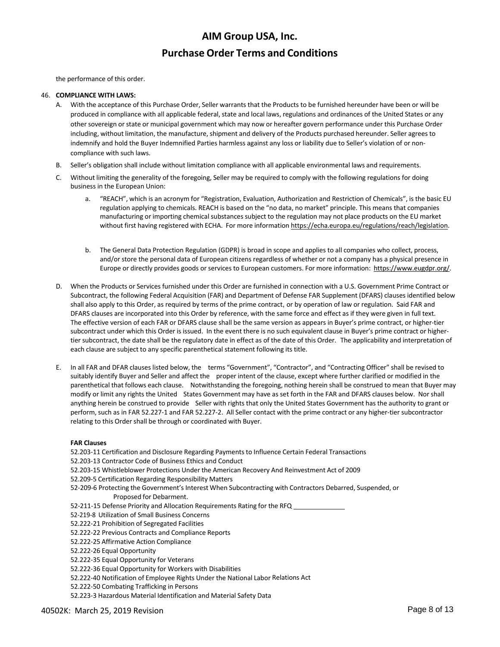the performance of this order.

#### 46. **COMPLIANCE WITH LAWS:**

- A. With the acceptance of this Purchase Order, Seller warrants that the Products to be furnished hereunder have been or will be produced in compliance with all applicable federal, state and local laws, regulations and ordinances of the United States or any other sovereign or state or municipal government which may now or hereafter govern performance under this Purchase Order including, without limitation, the manufacture, shipment and delivery of the Products purchased hereunder. Seller agrees to indemnify and hold the Buyer Indemnified Parties harmless against any loss or liability due to Seller's violation of or noncompliance with such laws.
- B. Seller's obligation shall include without limitation compliance with all applicable environmental laws and requirements.
- C. Without limiting the generality of the foregoing, Seller may be required to comply with the following regulations for doing business in the European Union:
	- a. "REACH", which is an acronym for "Registration, Evaluation, Authorization and Restriction of Chemicals", is the basic EU regulation applying to chemicals. REACH is based on the "no data, no market" principle. This means that companies manufacturing or importing chemical substances subject to the regulation may not place products on the EU market without first having registered with ECHA. For more information https://echa.europa.eu/regulations/reach/legislation.
	- b. The General Data Protection Regulation (GDPR) is broad in scope and applies to all companies who collect, process, and/or store the personal data of European citizens regardless of whether or not a company has a physical presence in Europe or directly provides goods or services to European customers. For more information: https://www.eugdpr.org/.
- When the Products or Services furnished under this Order are furnished in connection with a U.S. Government Prime Contract or Subcontract, the following Federal Acquisition (FAR) and Department of Defense FAR Supplement (DFARS) clauses identified below shall also apply to this Order, as required by terms of the prime contract, or by operation of law or regulation. Said FAR and DFARS clauses are incorporated into this Order by reference, with the same force and effect as if they were given in full text. The effective version of each FAR or DFARS clause shall be the same version as appears in Buyer's prime contract, or higher‐tier subcontract under which this Order is issued. In the event there is no such equivalent clause in Buyer's prime contract or higher‐ tier subcontract, the date shall be the regulatory date in effect as of the date of this Order. The applicability and interpretation of each clause are subject to any specific parenthetical statement following its title.
- E. In all FAR and DFAR clauses listed below, the terms "Government", "Contractor", and "Contracting Officer" shall be revised to suitably identify Buyer and Seller and affect the proper intent of the clause, except where further clarified or modified in the parenthetical that follows each clause. Notwithstanding the foregoing, nothing herein shall be construed to mean that Buyer may modify or limit any rights the United States Government may have as set forth in the FAR and DFARS clauses below. Nor shall anything herein be construed to provide Seller with rights that only the United States Government has the authority to grant or perform, such as in FAR 52.227-1 and FAR 52.227-2. All Seller contact with the prime contract or any higher-tier subcontractor relating to this Order shall be through or coordinated with Buyer.

#### **FAR Clauses**

52.203‐11 Certification and Disclosure Regarding Payments to Influence Certain Federal Transactions 52.203‐13 Contractor Code of Business Ethics and Conduct 52.203‐15 Whistleblower Protections Under the American Recovery And Reinvestment Act of 2009 52.209‐5 Certification Regarding Responsibility Matters 52-209-6 Protecting the Government's Interest When Subcontracting with Contractors Debarred, Suspended, or Proposed for Debarment. 52-211-15 Defense Priority and Allocation Requirements Rating for the RFQ \_ 52‐219‐8 Utilization of Small Business Concerns 52.222‐21 Prohibition of Segregated Facilities 52.222‐22 Previous Contracts and Compliance Reports 52.222‐25 Affirmative Action Compliance 52.222‐26 Equal Opportunity 52.222‐35 Equal Opportunity for Veterans 52.222‐36 Equal Opportunity for Workers with Disabilities 52.222-40 Notification of Employee Rights Under the National Labor Relations Act 52.222‐50 Combating Trafficking in Persons

52.223‐3 Hazardous Material Identification and Material Safety Data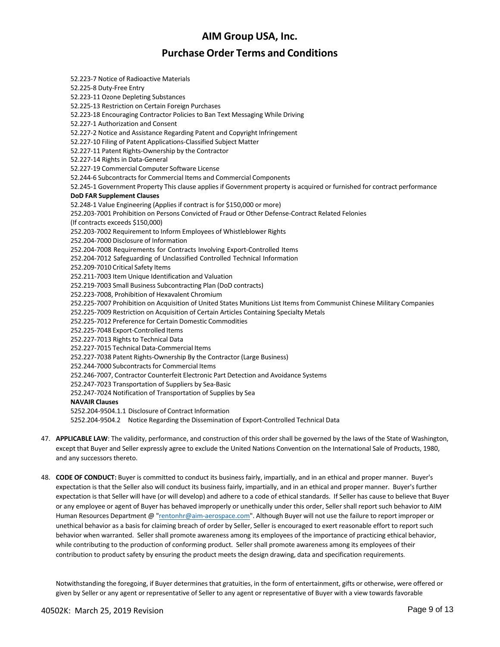## **Purchase Order Terms and Conditions**

52.223‐7 Notice of Radioactive Materials 52.225‐8 Duty‐Free Entry 52.223‐11 Ozone Depleting Substances 52.225‐13 Restriction on Certain Foreign Purchases 52.223‐18 Encouraging Contractor Policies to Ban Text Messaging While Driving 52.227‐1 Authorization and Consent 52.227‐2 Notice and Assistance Regarding Patent and Copyright Infringement 52.227‐10 Filing of Patent Applications‐Classified Subject Matter 52.227‐11 Patent Rights‐Ownership by the Contractor 52.227‐14 Rights in Data‐General 52.227‐19 Commercial Computer Software License 52.244‐6 Subcontracts for Commercial Items and Commercial Components 52.245‐1 Government Property This clause applies if Government property is acquired or furnished for contract performance **DoD FAR Supplement Clauses** 52.248‐1 Value Engineering (Applies if contract is for \$150,000 or more) 252.203‐7001 Prohibition on Persons Convicted of Fraud or Other Defense‐Contract Related Felonies (If contracts exceeds \$150,000) 252.203‐7002 Requirement to Inform Employees of Whistleblower Rights 252.204‐7000 Disclosure of Information 252.204‐7008 Requirements for Contracts Involving Export‐Controlled Items 252.204‐7012 Safeguarding of Unclassified Controlled Technical Information 252.209‐7010 Critical Safety Items 252.211‐7003 Item Unique Identification and Valuation 252.219‐7003 Small Business Subcontracting Plan (DoD contracts) 252.223‐7008, Prohibition of Hexavalent Chromium 252.225‐7007 Prohibition on Acquisition of United States Munitions List Items from Communist Chinese Military Companies 252.225‐7009 Restriction on Acquisition of Certain Articles Containing Specialty Metals 252.225‐7012 Preference for Certain Domestic Commodities 252.225‐7048 Export‐Controlled Items 252.227‐7013 Rights to Technical Data 252.227‐7015 Technical Data‐Commercial Items 252.227‐7038 Patent Rights‐Ownership By the Contractor (Large Business) 252.244-7000 Subcontracts for Commercial Items 252.246‐7007, Contractor Counterfeit Electronic Part Detection and Avoidance Systems 252.247‐7023 Transportation of Suppliers by Sea‐Basic 252.247‐7024 Notification of Transportation of Supplies by Sea **NAVAIR Clauses** 5252.204‐9504.1.1 Disclosure of Contract Information 5252.204‐9504.2 Notice Regarding the Dissemination of Export‐Controlled Technical Data

- 47. **APPLICABLE LAW**: The validity, performance, and construction of this order shall be governed by the laws of the State of Washington, except that Buyer and Seller expressly agree to exclude the United Nations Convention on the International Sale of Products, 1980, and any successors thereto.
- 48. **CODE OF CONDUCT:** Buyer is committed to conduct its business fairly, impartially, and in an ethical and proper manner. Buyer's expectation is that the Seller also will conduct its business fairly, impartially, and in an ethical and proper manner. Buyer's further expectation is that Seller will have (or will develop) and adhere to a code of ethical standards. If Seller has cause to believe that Buyer or any employee or agent of Buyer has behaved improperly or unethically under this order, Seller shall report such behavior to AIM Human Resources Department @ "rentonhr@aim‐aerospace.com". Although Buyer will not use the failure to report improper or unethical behavior as a basis for claiming breach of order by Seller, Seller is encouraged to exert reasonable effort to report such behavior when warranted. Seller shall promote awareness among its employees of the importance of practicing ethical behavior, while contributing to the production of conforming product. Seller shall promote awareness among its employees of their contribution to product safety by ensuring the product meets the design drawing, data and specification requirements.

Notwithstanding the foregoing, if Buyer determines that gratuities, in the form of entertainment, gifts or otherwise, were offered or given by Seller or any agent or representative of Seller to any agent or representative of Buyer with a view towards favorable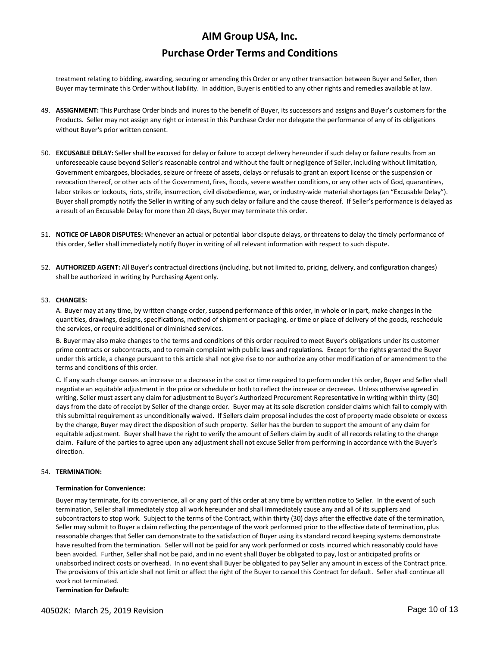## **Purchase Order Terms and Conditions**

treatment relating to bidding, awarding, securing or amending this Order or any other transaction between Buyer and Seller, then Buyer may terminate this Order without liability. In addition, Buyer is entitled to any other rights and remedies available at law.

- 49. **ASSIGNMENT:** This Purchase Order binds and inures to the benefit of Buyer, its successors and assigns and Buyer's customers for the Products. Seller may not assign any right or interest in this Purchase Order nor delegate the performance of any of its obligations without Buyer's prior written consent.
- 50. **EXCUSABLE DELAY:** Seller shall be excused for delay or failure to accept delivery hereunder if such delay or failure results from an unforeseeable cause beyond Seller's reasonable control and without the fault or negligence of Seller, including without limitation, Government embargoes, blockades, seizure or freeze of assets, delays or refusals to grant an export license or the suspension or revocation thereof, or other acts of the Government, fires, floods, severe weather conditions, or any other acts of God, quarantines, labor strikes or lockouts, riots, strife, insurrection, civil disobedience, war, or industry-wide material shortages (an "Excusable Delay"). Buyer shall promptly notify the Seller in writing of any such delay or failure and the cause thereof. If Seller's performance is delayed as a result of an Excusable Delay for more than 20 days, Buyer may terminate this order.
- 51. **NOTICE OF LABOR DISPUTES:** Whenever an actual or potential labor dispute delays, or threatens to delay the timely performance of this order, Seller shall immediately notify Buyer in writing of all relevant information with respect to such dispute.
- 52. **AUTHORIZED AGENT:** All Buyer's contractual directions (including, but not limited to, pricing, delivery, and configuration changes) shall be authorized in writing by Purchasing Agent only.

#### 53. **CHANGES:**

A. Buyer may at any time, by written change order, suspend performance of this order, in whole or in part, make changes in the quantities, drawings, designs, specifications, method of shipment or packaging, or time or place of delivery of the goods, reschedule the services, or require additional or diminished services.

B. Buyer may also make changes to the terms and conditions of this order required to meet Buyer's obligations under its customer prime contracts or subcontracts, and to remain complaint with public laws and regulations. Except for the rights granted the Buyer under this article, a change pursuant to this article shall not give rise to nor authorize any other modification of or amendment to the terms and conditions of this order.

C. If any such change causes an increase or a decrease in the cost or time required to perform under this order, Buyer and Seller shall negotiate an equitable adjustment in the price or schedule or both to reflect the increase or decrease. Unless otherwise agreed in writing, Seller must assert any claim for adjustment to Buyer's Authorized Procurement Representative in writing within thirty (30) days from the date of receipt by Seller of the change order. Buyer may at its sole discretion consider claims which fail to comply with this submittal requirement as unconditionally waived. If Sellers claim proposal includes the cost of property made obsolete or excess by the change, Buyer may direct the disposition of such property. Seller has the burden to support the amount of any claim for equitable adjustment. Buyer shall have the right to verify the amount of Sellers claim by audit of all records relating to the change claim. Failure of the parties to agree upon any adjustment shall not excuse Seller from performing in accordance with the Buyer's direction.

#### 54. **TERMINATION:**

#### **Termination for Convenience:**

Buyer may terminate, for its convenience, all or any part of this order at any time by written notice to Seller. In the event of such termination, Seller shall immediately stop all work hereunder and shall immediately cause any and all of its suppliers and subcontractors to stop work. Subject to the terms of the Contract, within thirty (30) days after the effective date of the termination, Seller may submit to Buyer a claim reflecting the percentage of the work performed prior to the effective date of termination, plus reasonable charges that Seller can demonstrate to the satisfaction of Buyer using its standard record keeping systems demonstrate have resulted from the termination. Seller will not be paid for any work performed or costs incurred which reasonably could have been avoided. Further, Seller shall not be paid, and in no event shall Buyer be obligated to pay, lost or anticipated profits or unabsorbed indirect costs or overhead. In no event shall Buyer be obligated to pay Seller any amount in excess of the Contract price. The provisions of this article shall not limit or affect the right of the Buyer to cancel this Contract for default. Seller shall continue all work not terminated.

**Termination for Default:**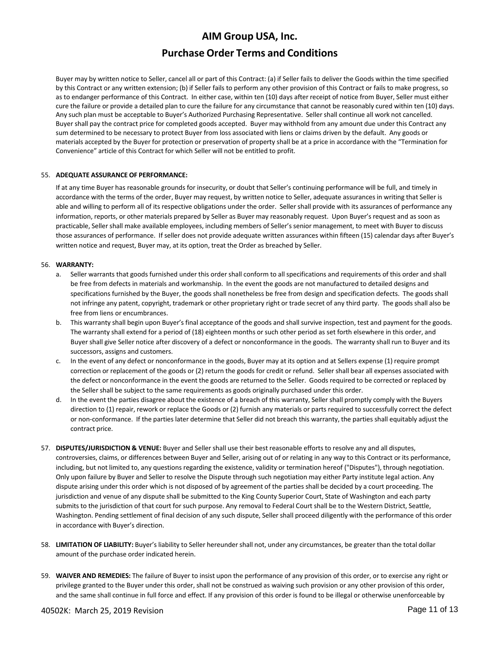## **Purchase Order Terms and Conditions**

Buyer may by written notice to Seller, cancel all or part of this Contract: (a) if Seller fails to deliver the Goods within the time specified by this Contract or any written extension; (b) if Seller fails to perform any other provision of this Contract or fails to make progress, so as to endanger performance of this Contract. In either case, within ten (10) days after receipt of notice from Buyer, Seller must either cure the failure or provide a detailed plan to cure the failure for any circumstance that cannot be reasonably cured within ten (10) days. Any such plan must be acceptable to Buyer's Authorized Purchasing Representative. Seller shall continue all work not cancelled. Buyer shall pay the contract price for completed goods accepted. Buyer may withhold from any amount due under this Contract any sum determined to be necessary to protect Buyer from loss associated with liens or claims driven by the default. Any goods or materials accepted by the Buyer for protection or preservation of property shall be at a price in accordance with the "Termination for Convenience" article of this Contract for which Seller will not be entitled to profit.

### 55. **ADEQUATE ASSURANCE OF PERFORMANCE:**

If at any time Buyer has reasonable grounds for insecurity, or doubt that Seller's continuing performance will be full, and timely in accordance with the terms of the order, Buyer may request, by written notice to Seller, adequate assurances in writing that Seller is able and willing to perform all of its respective obligations under the order. Seller shall provide with its assurances of performance any information, reports, or other materials prepared by Seller as Buyer may reasonably request. Upon Buyer's request and as soon as practicable, Seller shall make available employees, including members of Seller's senior management, to meet with Buyer to discuss those assurances of performance. If seller does not provide adequate written assurances within fifteen (15) calendar days after Buyer's written notice and request, Buyer may, at its option, treat the Order as breached by Seller.

### 56. **WARRANTY:**

- a. Seller warrants that goods furnished under this order shall conform to all specifications and requirements of this order and shall be free from defects in materials and workmanship. In the event the goods are not manufactured to detailed designs and specifications furnished by the Buyer, the goods shall nonetheless be free from design and specification defects. The goods shall not infringe any patent, copyright, trademark or other proprietary right or trade secret of any third party. The goods shall also be free from liens or encumbrances.
- b. This warranty shall begin upon Buyer's final acceptance of the goods and shall survive inspection, test and payment for the goods. The warranty shall extend for a period of (18) eighteen months or such other period as set forth elsewhere in this order, and Buyer shall give Seller notice after discovery of a defect or nonconformance in the goods. The warranty shall run to Buyer and its successors, assigns and customers.
- c. In the event of any defect or nonconformance in the goods, Buyer may at its option and at Sellers expense (1) require prompt correction or replacement of the goods or (2) return the goods for credit or refund. Seller shall bear all expenses associated with the defect or nonconformance in the event the goods are returned to the Seller. Goods required to be corrected or replaced by the Seller shall be subject to the same requirements as goods originally purchased under this order.
- d. In the event the parties disagree about the existence of a breach of this warranty, Seller shall promptly comply with the Buyers direction to (1) repair, rework or replace the Goods or (2) furnish any materials or parts required to successfully correct the defect or non‐conformance. If the parties later determine that Seller did not breach this warranty, the parties shall equitably adjust the contract price.
- 57. **DISPUTES/JURISDICTION & VENUE:** Buyer and Seller shall use their best reasonable efforts to resolve any and all disputes, controversies, claims, or differences between Buyer and Seller, arising out of or relating in any way to this Contract or its performance, including, but not limited to, any questions regarding the existence, validity or termination hereof ("Disputes"), through negotiation. Only upon failure by Buyer and Seller to resolve the Dispute through such negotiation may either Party institute legal action. Any dispute arising under this order which is not disposed of by agreement of the parties shall be decided by a court proceeding. The jurisdiction and venue of any dispute shall be submitted to the King County Superior Court, State of Washington and each party submits to the jurisdiction of that court for such purpose. Any removal to Federal Court shall be to the Western District, Seattle, Washington. Pending settlement of final decision of any such dispute, Seller shall proceed diligently with the performance of this order in accordance with Buyer's direction.
- 58. **LIMITATION OF LIABILITY:** Buyer's liability to Seller hereunder shall not, under any circumstances, be greater than the total dollar amount of the purchase order indicated herein.
- 59. **WAIVER AND REMEDIES:** The failure of Buyer to insist upon the performance of any provision of this order, or to exercise any right or privilege granted to the Buyer under this order, shall not be construed as waiving such provision or any other provision of this order, and the same shall continue in full force and effect. If any provision of this order is found to be illegal or otherwise unenforceable by